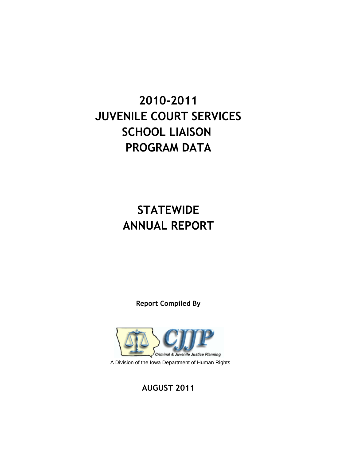# **2010-2011 JUVENILE COURT SERVICES SCHOOL LIAISON PROGRAM DATA**

## **STATEWIDE ANNUAL REPORT**

**Report Compiled By**



**AUGUST 2011**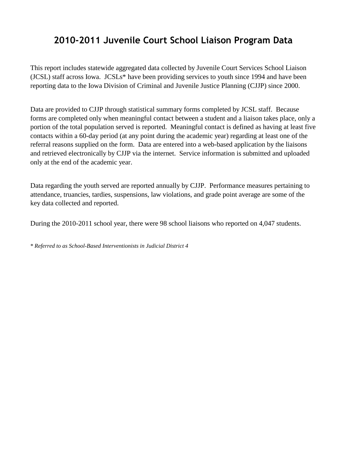## **2010-2011 Juvenile Court School Liaison Program Data**

This report includes statewide aggregated data collected by Juvenile Court Services School Liaison (JCSL) staff across Iowa. JCSLs\* have been providing services to youth since 1994 and have been reporting data to the Iowa Division of Criminal and Juvenile Justice Planning (CJJP) since 2000.

Data are provided to CJJP through statistical summary forms completed by JCSL staff. Because forms are completed only when meaningful contact between a student and a liaison takes place, only a portion of the total population served is reported. Meaningful contact is defined as having at least five contacts within a 60-day period (at any point during the academic year) regarding at least one of the referral reasons supplied on the form. Data are entered into a web-based application by the liaisons and retrieved electronically by CJJP via the internet. Service information is submitted and uploaded only at the end of the academic year.

Data regarding the youth served are reported annually by CJJP. Performance measures pertaining to attendance, truancies, tardies, suspensions, law violations, and grade point average are some of the key data collected and reported.

During the 2010-2011 school year, there were 98 school liaisons who reported on 4,047 students.

*\* Referred to as School-Based Interventionists in Judicial District 4*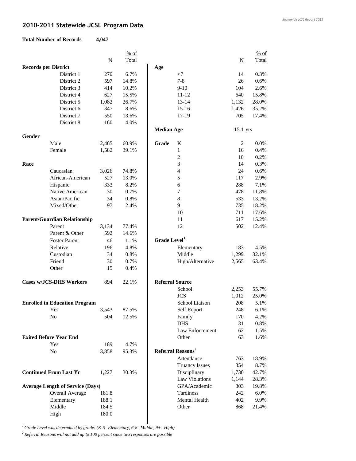## **2010-2011 Statewide JCSL Program Data**

#### **Total Number of Re**

| ecords | 4,047 |  |
|--------|-------|--|
|        |       |  |

|                             |                                         |                          | % of         |                          |                               |                         | $%$ of        |
|-----------------------------|-----------------------------------------|--------------------------|--------------|--------------------------|-------------------------------|-------------------------|---------------|
|                             |                                         | $\underline{\mathbf{N}}$ | <b>Total</b> |                          |                               | $\overline{\mathbf{N}}$ | Total         |
| <b>Records per District</b> |                                         |                          |              | Age                      |                               |                         |               |
|                             | District 1                              | 270                      | 6.7%         |                          | $<$ 7                         | 14                      | 0.3%          |
|                             | District 2                              | 597                      | 14.8%        |                          | $7 - 8$                       | 26                      | 0.6%          |
|                             | District 3                              | 414                      | 10.2%        |                          | $9-10$                        | 104                     | 2.6%          |
|                             | District 4                              | 627                      | 15.5%        |                          | 11-12                         | 640                     | 15.8%         |
|                             | District 5                              | 1,082                    | 26.7%        |                          | $13 - 14$                     | 1,132                   | 28.0%         |
|                             | District 6                              | 347                      | 8.6%         |                          | $15 - 16$                     | 1,426                   | 35.2%         |
|                             | District 7                              | 550                      | 13.6%        |                          | 17-19                         | 705                     | 17.4%         |
|                             | District 8                              | 160                      | 4.0%         |                          |                               |                         |               |
|                             |                                         |                          |              | <b>Median Age</b>        |                               | 15.1 yrs                |               |
| Gender                      |                                         |                          |              |                          |                               |                         |               |
|                             | Male                                    | 2,465                    | 60.9%        | Grade                    | K                             | 2                       | 0.0%          |
|                             | Female                                  | 1,582                    | 39.1%        |                          | $\mathbf{1}$                  | 16                      | 0.4%          |
|                             |                                         |                          |              |                          | $\overline{c}$                | 10                      | 0.2%          |
| Race                        |                                         |                          |              |                          | 3                             | 14                      | 0.3%          |
|                             | Caucasian                               | 3,026                    | 74.8%        |                          | $\overline{\mathcal{L}}$      | 24                      | 0.6%          |
|                             | African-American                        | 527                      | 13.0%        |                          | 5                             | 117                     | 2.9%          |
|                             | Hispanic                                | 333                      | 8.2%         |                          | 6                             | 288                     | 7.1%          |
|                             | Native American                         | 30                       | 0.7%         |                          | 7                             | 478                     | 11.8%         |
|                             | Asian/Pacific                           | 34                       | 0.8%         |                          | 8                             | 533                     | 13.2%         |
|                             | Mixed/Other                             | 97                       | 2.4%         |                          | 9                             | 735                     | 18.2%         |
|                             |                                         |                          |              |                          | 10                            | 711                     |               |
|                             | <b>Parent/Guardian Relationship</b>     |                          |              |                          |                               |                         | 17.6%         |
|                             | Parent                                  |                          |              |                          | 11<br>12                      | 617                     | 15.2%         |
|                             |                                         | 3,134                    | 77.4%        |                          |                               | 502                     | 12.4%         |
|                             | Parent & Other                          | 592                      | 14.6%        | Grade Level <sup>1</sup> |                               |                         |               |
|                             | <b>Foster Parent</b>                    | 46                       | 1.1%         |                          |                               |                         |               |
|                             | Relative                                | 196                      | 4.8%         |                          | Elementary                    | 183                     | 4.5%          |
|                             | Custodian                               | 34                       | 0.8%         |                          | Middle                        | 1,299                   | 32.1%         |
|                             | Friend                                  | 30                       | 0.7%         |                          | High/Alternative              | 2,565                   | 63.4%         |
|                             | Other                                   | 15                       | 0.4%         |                          |                               |                         |               |
|                             | <b>Cases w/JCS-DHS Workers</b>          | 894                      | 22.1%        | <b>Referral Source</b>   |                               |                         |               |
|                             |                                         |                          |              |                          | School                        | 2,253                   | 55.7%         |
|                             |                                         |                          |              |                          | <b>JCS</b>                    | 1,012                   |               |
|                             | <b>Enrolled in Education Program</b>    |                          |              |                          | School Liaison                | 208                     | 25.0%<br>5.1% |
|                             |                                         |                          |              |                          |                               | 248                     |               |
|                             | Yes                                     | 3,543                    | 87.5%        |                          | Self Report                   |                         | 6.1%          |
|                             | No                                      | 504                      | 12.5%        |                          | Family<br><b>DHS</b>          | 170                     | 4.2%          |
|                             |                                         |                          |              |                          |                               | 31                      | 0.8%          |
|                             |                                         |                          |              |                          | Law Enforcement               | 62                      | 1.5%          |
|                             | <b>Exited Before Year End</b>           |                          |              |                          | Other                         | 63                      | 1.6%          |
|                             | Yes                                     | 189                      | 4.7%         |                          |                               |                         |               |
|                             | No                                      | 3,858                    | 95.3%        |                          | Referral Reasons <sup>2</sup> |                         |               |
|                             |                                         |                          |              |                          | Attendance                    | 763                     | 18.9%         |
|                             |                                         |                          |              |                          | <b>Truancy Issues</b>         | 354                     | 8.7%          |
|                             | <b>Continued From Last Yr</b>           | 1,227                    | 30.3%        |                          | Disciplinary                  | 1,730                   | 42.7%         |
|                             |                                         |                          |              |                          | Law Violations                | 1,144                   | 28.3%         |
|                             | <b>Average Length of Service (Days)</b> |                          |              |                          | GPA/Academic                  | 803                     | 19.8%         |
|                             | <b>Overall Average</b>                  | 181.8                    |              |                          | Tardiness                     | 242                     | 6.0%          |
|                             | Elementary                              | 188.1                    |              |                          | Mental Health                 | 402                     | 9.9%          |
|                             | Middle                                  | 184.5                    |              |                          | Other                         | 868                     | 21.4%         |
|                             | High                                    | 180.0                    |              |                          |                               |                         |               |

*Statewide JCSL Report 2011*

*<sup>1</sup> Grade Level was determined by grade: (K-5=Elementary, 6-8=Middle, 9+=High)*

*2 Referral Reasons will not add up to 100 percent since two responses are possible*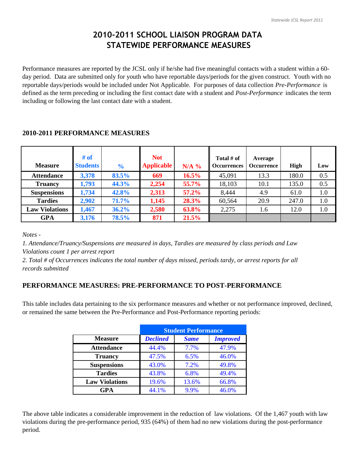## **2010-2011 SCHOOL LIAISON PROGRAM DATA STATEWIDE PERFORMANCE MEASURES**

Performance measures are reported by the JCSL only if he/she had five meaningful contacts with a student within a 60 day period. Data are submitted only for youth who have reportable days/periods for the given construct. Youth with no reportable days/periods would be included under Not Applicable. For purposes of data collection *Pre-Performance* is defined as the term preceding or including the first contact date with a student and *Post-Performance* indicates the term including or following the last contact date with a student.

#### **2010-2011 PERFORMANCE MEASURES**

| <b>Measure</b>        | # of<br><b>Students</b> | $\frac{6}{10}$ | <b>Not</b><br><b>Applicable</b> | $N/A$ %  | Total $#$ of<br><b>Occurrences</b> | Average<br><b>Occurrence</b> | High  | Low |
|-----------------------|-------------------------|----------------|---------------------------------|----------|------------------------------------|------------------------------|-------|-----|
| <b>Attendance</b>     | 3,378                   | 83.5%          | 669                             | 16.5%    | 45,091                             | 13.3                         | 180.0 | 0.5 |
| <b>Truancy</b>        | 1,793                   | 44.3%          | 2,254                           | 55.7%    | 18,103                             | 10.1                         | 135.0 | 0.5 |
| <b>Suspensions</b>    | 1,734                   | 42.8%          | 2,313                           | $57.2\%$ | 8,444                              | 4.9                          | 61.0  | 1.0 |
| <b>Tardies</b>        | 2,902                   | 71.7%          | 1,145                           | 28.3%    | 60,564                             | 20.9                         | 247.0 | 1.0 |
| <b>Law Violations</b> | 1,467                   | 36.2%          | 2,580                           | 63.8%    | 2,275                              | 1.6                          | 12.0  | 1.0 |
| <b>GPA</b>            | 3,176                   | 78.5%          | 871                             | 21.5%    |                                    |                              |       |     |

*Notes -* 

*1. Attendance/Truancy/Suspensions are measured in days, Tardies are measured by class periods and Law Violations count 1 per arrest report*

*2. Total # of Occurrences indicates the total number of days missed, periods tardy, or arrest reports for all records submitted*

## **PERFORMANCE MEASURES: PRE-PERFORMANCE TO POST-PERFORMANCE**

This table includes data pertaining to the six performance measures and whether or not performance improved, declined, or remained the same between the Pre-Performance and Post-Performance reporting periods:

|                       |                 | <b>Student Performance</b> |                 |  |  |  |
|-----------------------|-----------------|----------------------------|-----------------|--|--|--|
| <b>Measure</b>        | <b>Declined</b> | <b>Same</b>                | <b>Improved</b> |  |  |  |
| <b>Attendance</b>     | 44.4%           | 7.7%                       | 47.9%           |  |  |  |
| <b>Truancy</b>        | 47.5%           | 6.5%                       | 46.0%           |  |  |  |
| <b>Suspensions</b>    | 43.0%           | 7.2%                       | 49.8%           |  |  |  |
| <b>Tardies</b>        | 43.8%           | 6.8%                       | 49.4%           |  |  |  |
| <b>Law Violations</b> | 19.6%           | 13.6%                      | 66.8%           |  |  |  |
| GPA                   | 44.1%           | 9.9%                       | 46.0%           |  |  |  |

The above table indicates a considerable improvement in the reduction of law violations. Of the 1,467 youth with law violations during the pre-performance period, 935 (64%) of them had no new violations during the post-performance period.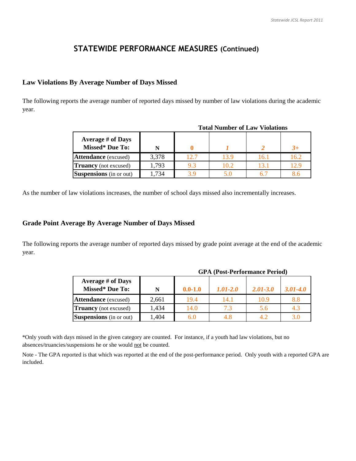## **STATEWIDE PERFORMANCE MEASURES (Continued)**

#### **Law Violations By Average Number of Days Missed**

The following reports the average number of reported days missed by number of law violations during the academic year.

| Tutai Number of Law Violations                     |       |      |      |      |         |  |  |  |  |
|----------------------------------------------------|-------|------|------|------|---------|--|--|--|--|
| <b>Average # of Days</b><br><b>Missed*</b> Due To: | N     |      |      |      |         |  |  |  |  |
| <b>Attendance</b> (excused)                        | 3,378 | 12.7 | 13.9 | 16.1 | 16.2    |  |  |  |  |
| <b>Truancy</b> (not excused)                       | 1,793 |      | 10.2 | 131  | 12.9    |  |  |  |  |
| <b>Suspensions</b> (in or out)                     | .734  |      |      |      | $8.6\,$ |  |  |  |  |

As the number of law violations increases, the number of school days missed also incrementally increases.

#### **Grade Point Average By Average Number of Days Missed**

The following reports the average number of reported days missed by grade point average at the end of the academic year.

| <b>Average # of Days</b><br><b>Missed*</b> Due To: | N     | $0.0 - 1.0$ | 1.01-2.0 | $2.01 - 3.0$ | 3.01-4.0 |
|----------------------------------------------------|-------|-------------|----------|--------------|----------|
| <b>Attendance</b> (excused)                        | 2,661 | 19.4        | 14.1     | 10.9         | $8.8\,$  |
| <b>Truancy</b> (not excused)                       | 1,434 | 14.0        | 7.3      | 5.6          | 4.3      |
| <b>Suspensions</b> (in or out)                     | ,404  |             |          | 4.2          |          |

**GPA (Post-Performance Period)**

**Total Number of Law Violations**

\*Only youth with days missed in the given category are counted. For instance, if a youth had law violations, but no absences/truancies/suspensions he or she would not be counted.

Note - The GPA reported is that which was reported at the end of the post-performance period. Only youth with a reported GPA are included.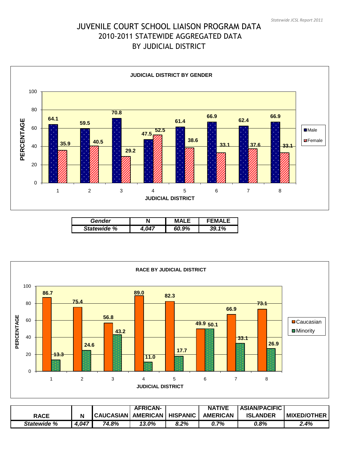## JUVENILE COURT SCHOOL LIAISON PROGRAM DATA 2010-2011 STATEWIDE AGGREGATED DATA BY JUDICIAL DISTRICT



| Gender             | Ν | м     |          |
|--------------------|---|-------|----------|
| <b>Statewide %</b> |   | 60.9% | 1%<br>20 |



|             |       |                  | <b>AFRICAN-</b> |                 | <b>NATIVE</b>   | <b>ASIAN/PACIFIC</b> |                    |
|-------------|-------|------------------|-----------------|-----------------|-----------------|----------------------|--------------------|
| <b>RACE</b> |       | <b>CAUCASIAN</b> | <b>AMERICAN</b> | <b>HISPANIC</b> | <b>AMERICAN</b> | <b>ISLANDER</b>      | <b>MIXED/OTHER</b> |
| Statewide % | 4,047 | 74.8%            | 13.0%           | 8.2%            | 0.7%            | 0.8%                 | 2.4%               |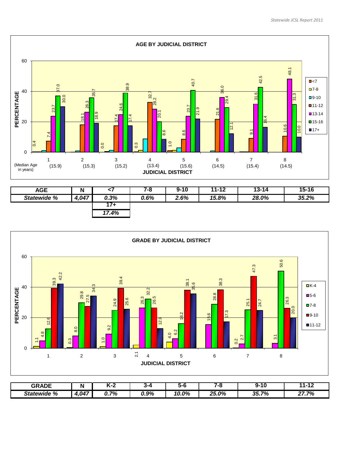

| <b>AGE</b>  | N     | ∽.    | 7-8  | $9 - 10$ | $11 - 12$ | $13 - 14$ | $15 - 16$ |
|-------------|-------|-------|------|----------|-----------|-----------|-----------|
| Statewide % | 4,047 | 0.3%  | 0.6% | 2.6%     | 15.8%     | 28.0%     | 35.2%     |
|             |       | 174   |      |          |           |           |           |
|             |       | 17.4% |      |          |           |           |           |



| <b>GRADE</b>   | N           |                  | 334  | ה -              |             | -10<br>ч.         | .     |
|----------------|-------------|------------------|------|------------------|-------------|-------------------|-------|
| %<br>Statewide | 4.047<br>-- | 70/<br>70<br>ν., | 0.9% | 0%<br>. .<br>v.v | つぶ<br>∠5.0% | 70/<br>35.7<br>70 | 27.7% |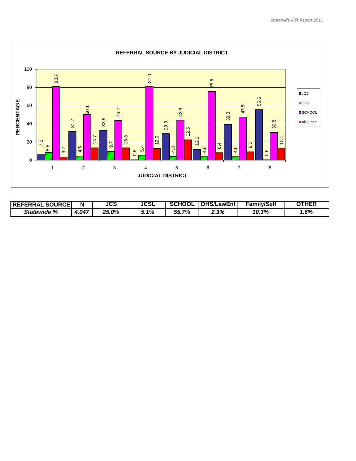

| <b>SOURCEI</b><br><b>REFERRAL</b> | N    | JCS   | <b>JCSL</b> | κΗΟΟΓ<br>sc      | <b>DHS/I</b><br>∟awEnf | <b>Family/Self</b> | <b>THEF</b> |
|-----------------------------------|------|-------|-------------|------------------|------------------------|--------------------|-------------|
| %<br>Statewide                    | .047 | 25.0% | 5.1%        | 7%<br>55<br>JJ., | 2.3%                   | 10.3%              | $1.6\%$     |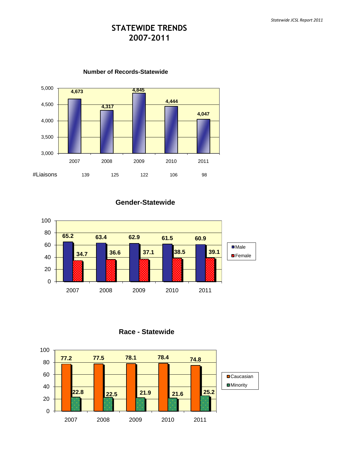## **STATEWIDE TRENDS 2007-2011**



**Number of Records-Statewide**

**Gender-Statewide**



**Race - Statewide**

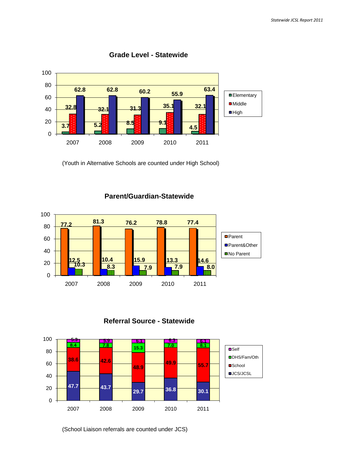

#### **Grade Level - Statewide**

(Youth in Alternative Schools are counted under High School)



### **Parent/Guardian-Statewide**





(School Liaison referrals are counted under JCS)